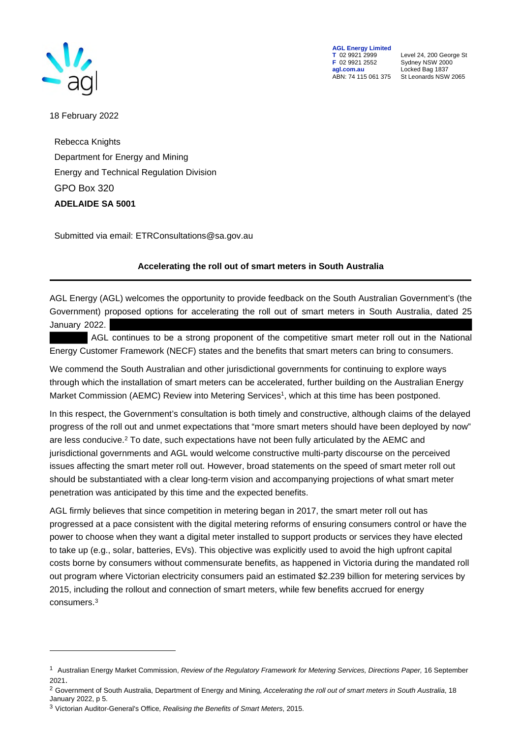

**AGL Energy Limited**<br> **T** 02 9921 2999<br> **F** 02 9921 2552 **F** 02 9921 2552 Sydney NSW 2000 **agl.com.au** Locked Bag 1837<br>ABN: 74 115 061 375 St Leonards NSW

**T** 02 9921 2999 Level 24, 200 George St St Leonards NSW 2065

18 February 2022

Rebecca Knights Department for Energy and Mining Energy and Technical Regulation Division GPO Box 320 **ADELAIDE SA 5001** 

Submitted via email: ETRConsultations@sa.gov.au

## **Accelerating the roll out of smart meters in South Australia**

AGL Energy (AGL) welcomes the opportunity to provide feedback on the South Australian Government's (the Government) proposed options for accelerating the roll out of smart meters in South Australia, dated 25 January 2022.

 AGL continues to be a strong proponent of the competitive smart meter roll out in the National Energy Customer Framework (NECF) states and the benefits that smart meters can bring to consumers.

We commend the South Australian and other jurisdictional governments for continuing to explore ways through which the installation of smart meters can be accelerated, further building on the Australian Energy Market Commission (AEMC) Review into Metering Services<sup>1</sup>, which at this time has been postponed.

In this respect, the Government's consultation is both timely and constructive, although claims of the delayed progress of the roll out and unmet expectations that "more smart meters should have been deployed by now" are less conducive.<sup>2</sup> To date, such expectations have not been fully articulated by the AEMC and jurisdictional governments and AGL would welcome constructive multi-party discourse on the perceived issues affecting the smart meter roll out. However, broad statements on the speed of smart meter roll out should be substantiated with a clear long-term vision and accompanying projections of what smart meter penetration was anticipated by this time and the expected benefits.

AGL firmly believes that since competition in metering began in 2017, the smart meter roll out has progressed at a pace consistent with the digital metering reforms of ensuring consumers control or have the power to choose when they want a digital meter installed to support products or services they have elected to take up (e.g., solar, batteries, EVs). This objective was explicitly used to avoid the high upfront capital costs borne by consumers without commensurate benefits, as happened in Victoria during the mandated roll out program where Victorian electricity consumers paid an estimated \$2.239 billion for metering services by 2015, including the rollout and connection of smart meters, while few benefits accrued for energy consumers.<sup>3</sup>

<sup>&</sup>lt;sup>1</sup> Australian Energy Market Commission, *Review of the Regulatory Framework for Metering Services, Directions Paper, 16 September* 2021.

<sup>2</sup> Government of South Australia, Department of Energy and Mining, *Accelerating the roll out of smart meters in South Australia*, 18 January 2022, p 5.

<sup>3</sup> Victorian Auditor-General's Office, *Realising the Benefits of Smart Meters*, 2015.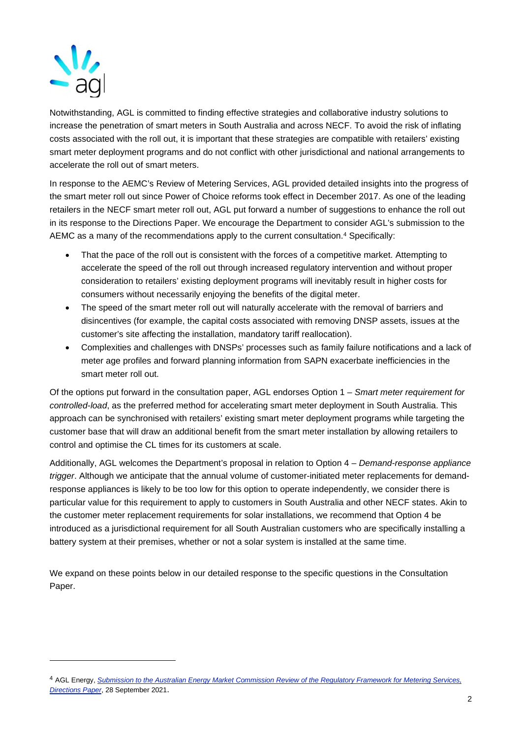

Notwithstanding, AGL is committed to finding effective strategies and collaborative industry solutions to increase the penetration of smart meters in South Australia and across NECF. To avoid the risk of inflating costs associated with the roll out, it is important that these strategies are compatible with retailers' existing smart meter deployment programs and do not conflict with other jurisdictional and national arrangements to accelerate the roll out of smart meters.

In response to the AEMC's Review of Metering Services, AGL provided detailed insights into the progress of the smart meter roll out since Power of Choice reforms took effect in December 2017. As one of the leading retailers in the NECF smart meter roll out, AGL put forward a number of suggestions to enhance the roll out in its response to the Directions Paper. We encourage the Department to consider AGL's submission to the AEMC as a many of the recommendations apply to the current consultation.<sup>4</sup> Specifically:

- That the pace of the roll out is consistent with the forces of a competitive market. Attempting to accelerate the speed of the roll out through increased regulatory intervention and without proper consideration to retailers' existing deployment programs will inevitably result in higher costs for consumers without necessarily enjoying the benefits of the digital meter.
- The speed of the smart meter roll out will naturally accelerate with the removal of barriers and disincentives (for example, the capital costs associated with removing DNSP assets, issues at the customer's site affecting the installation, mandatory tariff reallocation).
- Complexities and challenges with DNSPs' processes such as family failure notifications and a lack of meter age profiles and forward planning information from SAPN exacerbate inefficiencies in the smart meter roll out.

Of the options put forward in the consultation paper, AGL endorses Option 1 – *Smart meter requirement for controlled-load*, as the preferred method for accelerating smart meter deployment in South Australia. This approach can be synchronised with retailers' existing smart meter deployment programs while targeting the customer base that will draw an additional benefit from the smart meter installation by allowing retailers to control and optimise the CL times for its customers at scale.

Additionally, AGL welcomes the Department's proposal in relation to Option 4 – *Demand-response appliance trigger*. Although we anticipate that the annual volume of customer-initiated meter replacements for demandresponse appliances is likely to be too low for this option to operate independently, we consider there is particular value for this requirement to apply to customers in South Australia and other NECF states. Akin to the customer meter replacement requirements for solar installations, we recommend that Option 4 be introduced as a jurisdictional requirement for all South Australian customers who are specifically installing a battery system at their premises, whether or not a solar system is installed at the same time.

We expand on these points below in our detailed response to the specific questions in the Consultation Paper.

<sup>4</sup> AGL Energy, *Submission to the Australian Energy Market Commission Review of the Regulatory Framework for Metering Services, Directions Paper*, 28 September 2021.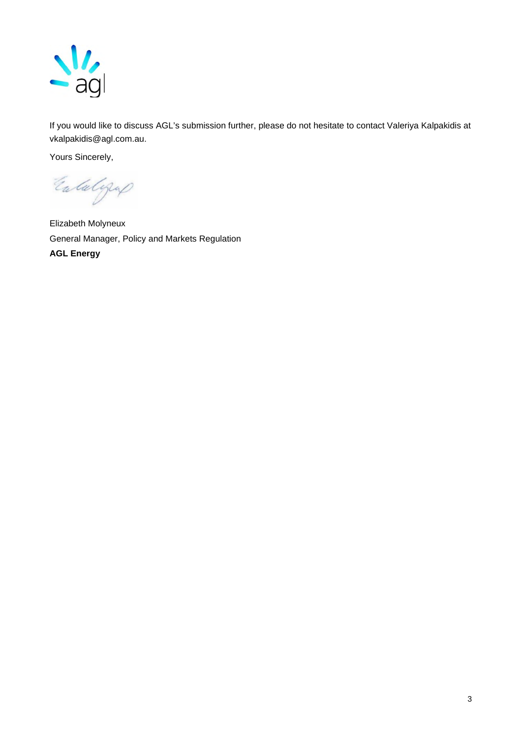

If you would like to discuss AGL's submission further, please do not hesitate to contact Valeriya Kalpakidis at vkalpakidis@agl.com.au.

Yours Sincerely,

Entalgap

Elizabeth Molyneux General Manager, Policy and Markets Regulation **AGL Energy**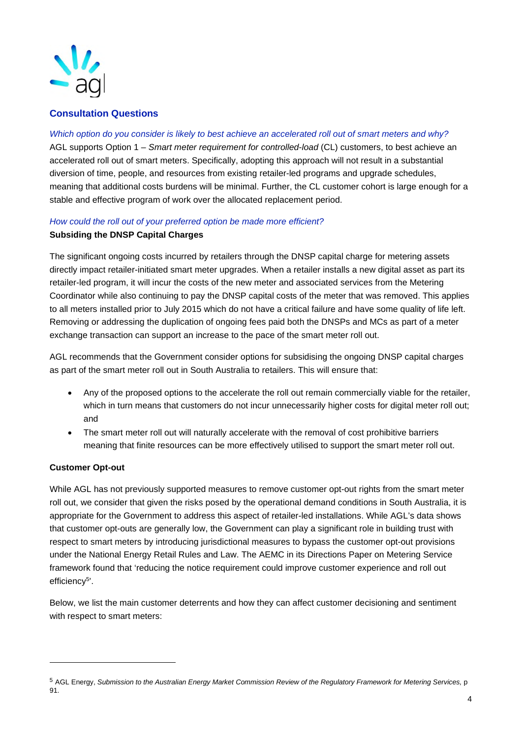

## **Consultation Questions**

#### *Which option do you consider is likely to best achieve an accelerated roll out of smart meters and why?*

AGL supports Option 1 – *Smart meter requirement for controlled-load* (CL) customers, to best achieve an accelerated roll out of smart meters. Specifically, adopting this approach will not result in a substantial diversion of time, people, and resources from existing retailer-led programs and upgrade schedules, meaning that additional costs burdens will be minimal. Further, the CL customer cohort is large enough for a stable and effective program of work over the allocated replacement period.

#### *How could the roll out of your preferred option be made more efficient?*

#### **Subsiding the DNSP Capital Charges**

The significant ongoing costs incurred by retailers through the DNSP capital charge for metering assets directly impact retailer-initiated smart meter upgrades. When a retailer installs a new digital asset as part its retailer-led program, it will incur the costs of the new meter and associated services from the Metering Coordinator while also continuing to pay the DNSP capital costs of the meter that was removed. This applies to all meters installed prior to July 2015 which do not have a critical failure and have some quality of life left. Removing or addressing the duplication of ongoing fees paid both the DNSPs and MCs as part of a meter exchange transaction can support an increase to the pace of the smart meter roll out.

AGL recommends that the Government consider options for subsidising the ongoing DNSP capital charges as part of the smart meter roll out in South Australia to retailers. This will ensure that:

- Any of the proposed options to the accelerate the roll out remain commercially viable for the retailer, which in turn means that customers do not incur unnecessarily higher costs for digital meter roll out; and
- The smart meter roll out will naturally accelerate with the removal of cost prohibitive barriers meaning that finite resources can be more effectively utilised to support the smart meter roll out.

## **Customer Opt-out**

While AGL has not previously supported measures to remove customer opt-out rights from the smart meter roll out, we consider that given the risks posed by the operational demand conditions in South Australia, it is appropriate for the Government to address this aspect of retailer-led installations. While AGL's data shows that customer opt-outs are generally low, the Government can play a significant role in building trust with respect to smart meters by introducing jurisdictional measures to bypass the customer opt-out provisions under the National Energy Retail Rules and Law. The AEMC in its Directions Paper on Metering Service framework found that 'reducing the notice requirement could improve customer experience and roll out efficiency<sup>5</sup>'.

Below, we list the main customer deterrents and how they can affect customer decisioning and sentiment with respect to smart meters:

<sup>5</sup> AGL Energy, *Submission to the Australian Energy Market Commission Review of the Regulatory Framework for Metering Services,* p 91.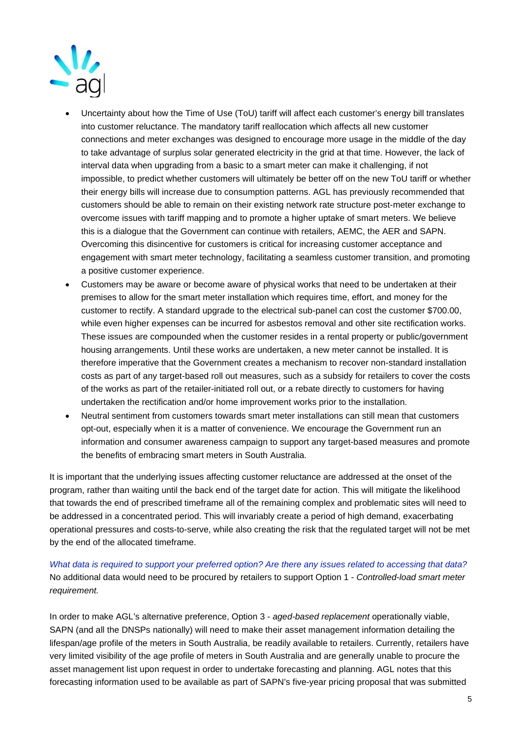

- Uncertainty about how the Time of Use (ToU) tariff will affect each customer's energy bill translates into customer reluctance. The mandatory tariff reallocation which affects all new customer connections and meter exchanges was designed to encourage more usage in the middle of the day to take advantage of surplus solar generated electricity in the grid at that time. However, the lack of interval data when upgrading from a basic to a smart meter can make it challenging, if not impossible, to predict whether customers will ultimately be better off on the new ToU tariff or whether their energy bills will increase due to consumption patterns. AGL has previously recommended that customers should be able to remain on their existing network rate structure post-meter exchange to overcome issues with tariff mapping and to promote a higher uptake of smart meters. We believe this is a dialogue that the Government can continue with retailers, AEMC, the AER and SAPN. Overcoming this disincentive for customers is critical for increasing customer acceptance and engagement with smart meter technology, facilitating a seamless customer transition, and promoting a positive customer experience.
- Customers may be aware or become aware of physical works that need to be undertaken at their premises to allow for the smart meter installation which requires time, effort, and money for the customer to rectify. A standard upgrade to the electrical sub-panel can cost the customer \$700.00, while even higher expenses can be incurred for asbestos removal and other site rectification works. These issues are compounded when the customer resides in a rental property or public/government housing arrangements. Until these works are undertaken, a new meter cannot be installed. It is therefore imperative that the Government creates a mechanism to recover non-standard installation costs as part of any target-based roll out measures, such as a subsidy for retailers to cover the costs of the works as part of the retailer-initiated roll out, or a rebate directly to customers for having undertaken the rectification and/or home improvement works prior to the installation.
- Neutral sentiment from customers towards smart meter installations can still mean that customers opt-out, especially when it is a matter of convenience. We encourage the Government run an information and consumer awareness campaign to support any target-based measures and promote the benefits of embracing smart meters in South Australia.

It is important that the underlying issues affecting customer reluctance are addressed at the onset of the program, rather than waiting until the back end of the target date for action. This will mitigate the likelihood that towards the end of prescribed timeframe all of the remaining complex and problematic sites will need to be addressed in a concentrated period. This will invariably create a period of high demand, exacerbating operational pressures and costs-to-serve, while also creating the risk that the regulated target will not be met by the end of the allocated timeframe.

*What data is required to support your preferred option? Are there any issues related to accessing that data?*  No additional data would need to be procured by retailers to support Option 1 - *Controlled-load smart meter requirement.*

In order to make AGL's alternative preference, Option 3 - *aged-based replacement* operationally viable, SAPN (and all the DNSPs nationally) will need to make their asset management information detailing the lifespan/age profile of the meters in South Australia, be readily available to retailers. Currently, retailers have very limited visibility of the age profile of meters in South Australia and are generally unable to procure the asset management list upon request in order to undertake forecasting and planning. AGL notes that this forecasting information used to be available as part of SAPN's five-year pricing proposal that was submitted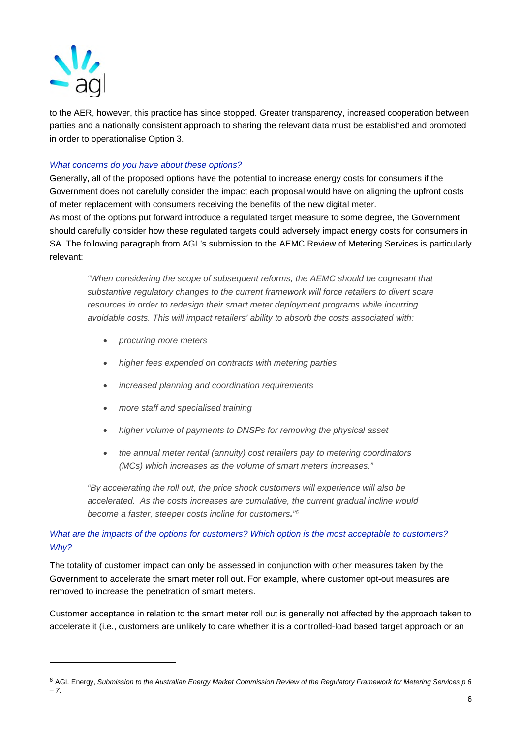

to the AER, however, this practice has since stopped. Greater transparency, increased cooperation between parties and a nationally consistent approach to sharing the relevant data must be established and promoted in order to operationalise Option 3.

#### *What concerns do you have about these options?*

Generally, all of the proposed options have the potential to increase energy costs for consumers if the Government does not carefully consider the impact each proposal would have on aligning the upfront costs of meter replacement with consumers receiving the benefits of the new digital meter. As most of the options put forward introduce a regulated target measure to some degree, the Government

should carefully consider how these regulated targets could adversely impact energy costs for consumers in SA. The following paragraph from AGL's submission to the AEMC Review of Metering Services is particularly relevant:

*"When considering the scope of subsequent reforms, the AEMC should be cognisant that substantive regulatory changes to the current framework will force retailers to divert scare resources in order to redesign their smart meter deployment programs while incurring avoidable costs. This will impact retailers' ability to absorb the costs associated with:* 

- *procuring more meters*
- *higher fees expended on contracts with metering parties*
- *increased planning and coordination requirements*
- *more staff and specialised training*
- *higher volume of payments to DNSPs for removing the physical asset*
- *the annual meter rental (annuity) cost retailers pay to metering coordinators (MCs) which increases as the volume of smart meters increases."*

*"By accelerating the roll out, the price shock customers will experience will also be accelerated. As the costs increases are cumulative, the current gradual incline would become a faster, steeper costs incline for customers." 6*

## *What are the impacts of the options for customers? Which option is the most acceptable to customers? Why?*

The totality of customer impact can only be assessed in conjunction with other measures taken by the Government to accelerate the smart meter roll out. For example, where customer opt-out measures are removed to increase the penetration of smart meters.

Customer acceptance in relation to the smart meter roll out is generally not affected by the approach taken to accelerate it (i.e., customers are unlikely to care whether it is a controlled-load based target approach or an

<sup>6</sup> AGL Energy, *Submission to the Australian Energy Market Commission Review of the Regulatory Framework for Metering Services p 6 – 7*.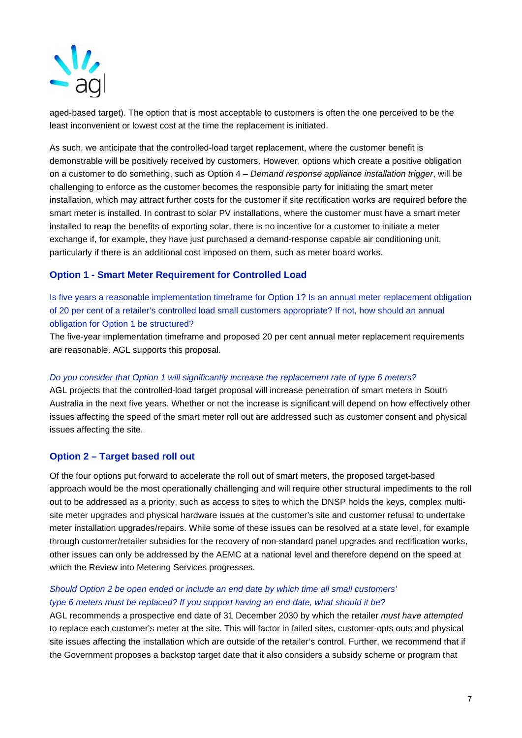

aged-based target). The option that is most acceptable to customers is often the one perceived to be the least inconvenient or lowest cost at the time the replacement is initiated.

As such, we anticipate that the controlled-load target replacement, where the customer benefit is demonstrable will be positively received by customers. However, options which create a positive obligation on a customer to do something, such as Option 4 – *Demand response appliance installation trigger*, will be challenging to enforce as the customer becomes the responsible party for initiating the smart meter installation, which may attract further costs for the customer if site rectification works are required before the smart meter is installed. In contrast to solar PV installations, where the customer must have a smart meter installed to reap the benefits of exporting solar, there is no incentive for a customer to initiate a meter exchange if, for example, they have just purchased a demand-response capable air conditioning unit, particularly if there is an additional cost imposed on them, such as meter board works.

# **Option 1 - Smart Meter Requirement for Controlled Load**

Is five years a reasonable implementation timeframe for Option 1? Is an annual meter replacement obligation of 20 per cent of a retailer's controlled load small customers appropriate? If not, how should an annual obligation for Option 1 be structured?

The five-year implementation timeframe and proposed 20 per cent annual meter replacement requirements are reasonable. AGL supports this proposal.

#### *Do you consider that Option 1 will significantly increase the replacement rate of type 6 meters?*

AGL projects that the controlled-load target proposal will increase penetration of smart meters in South Australia in the next five years. Whether or not the increase is significant will depend on how effectively other issues affecting the speed of the smart meter roll out are addressed such as customer consent and physical issues affecting the site.

## **Option 2 – Target based roll out**

Of the four options put forward to accelerate the roll out of smart meters, the proposed target-based approach would be the most operationally challenging and will require other structural impediments to the roll out to be addressed as a priority, such as access to sites to which the DNSP holds the keys, complex multisite meter upgrades and physical hardware issues at the customer's site and customer refusal to undertake meter installation upgrades/repairs. While some of these issues can be resolved at a state level, for example through customer/retailer subsidies for the recovery of non-standard panel upgrades and rectification works, other issues can only be addressed by the AEMC at a national level and therefore depend on the speed at which the Review into Metering Services progresses.

# *Should Option 2 be open ended or include an end date by which time all small customers' type 6 meters must be replaced? If you support having an end date, what should it be?*

AGL recommends a prospective end date of 31 December 2030 by which the retailer *must have attempted* to replace each customer's meter at the site. This will factor in failed sites, customer-opts outs and physical site issues affecting the installation which are outside of the retailer's control. Further, we recommend that if the Government proposes a backstop target date that it also considers a subsidy scheme or program that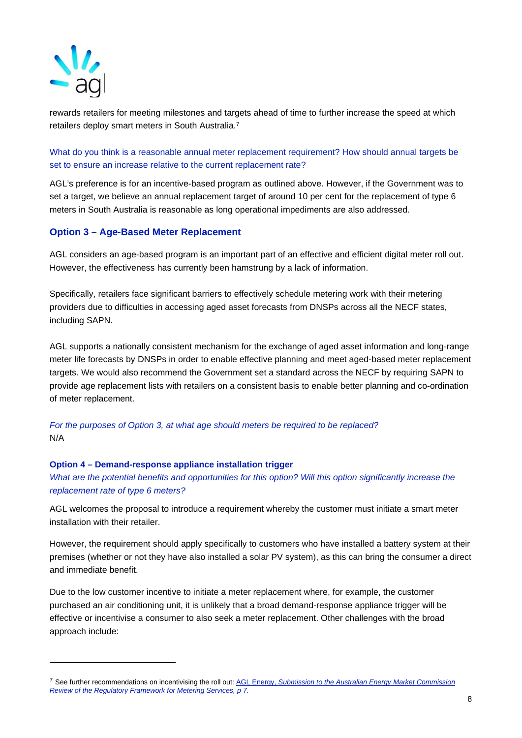

rewards retailers for meeting milestones and targets ahead of time to further increase the speed at which retailers deploy smart meters in South Australia.<sup>7</sup>

What do you think is a reasonable annual meter replacement requirement? How should annual targets be set to ensure an increase relative to the current replacement rate?

AGL's preference is for an incentive-based program as outlined above. However, if the Government was to set a target, we believe an annual replacement target of around 10 per cent for the replacement of type 6 meters in South Australia is reasonable as long operational impediments are also addressed.

## **Option 3 – Age-Based Meter Replacement**

AGL considers an age-based program is an important part of an effective and efficient digital meter roll out. However, the effectiveness has currently been hamstrung by a lack of information.

Specifically, retailers face significant barriers to effectively schedule metering work with their metering providers due to difficulties in accessing aged asset forecasts from DNSPs across all the NECF states, including SAPN.

AGL supports a nationally consistent mechanism for the exchange of aged asset information and long-range meter life forecasts by DNSPs in order to enable effective planning and meet aged-based meter replacement targets. We would also recommend the Government set a standard across the NECF by requiring SAPN to provide age replacement lists with retailers on a consistent basis to enable better planning and co-ordination of meter replacement.

*For the purposes of Option 3, at what age should meters be required to be replaced?*  N/A

#### **Option 4 – Demand-response appliance installation trigger**

*What are the potential benefits and opportunities for this option? Will this option significantly increase the replacement rate of type 6 meters?* 

AGL welcomes the proposal to introduce a requirement whereby the customer must initiate a smart meter installation with their retailer.

However, the requirement should apply specifically to customers who have installed a battery system at their premises (whether or not they have also installed a solar PV system), as this can bring the consumer a direct and immediate benefit.

Due to the low customer incentive to initiate a meter replacement where, for example, the customer purchased an air conditioning unit, it is unlikely that a broad demand-response appliance trigger will be effective or incentivise a consumer to also seek a meter replacement. Other challenges with the broad approach include:

<sup>7</sup> See further recommendations on incentivising the roll out: AGL Energy, *Submission to the Australian Energy Market Commission Review of the Regulatory Framework for Metering Services, p 7.*